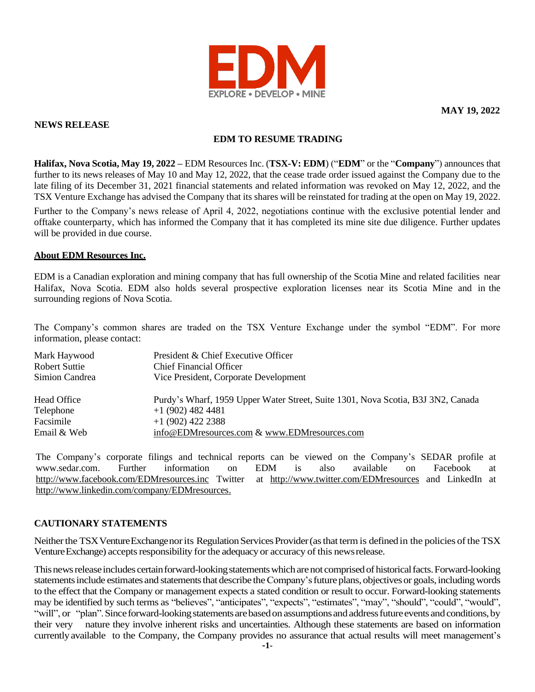

**MAY 19, 2022**

## **NEWS RELEASE**

# **EDM TO RESUME TRADING**

**Halifax, Nova Scotia, May 19, 2022 –** EDM Resources Inc. (**TSX-V: EDM**) ("**EDM**" or the "**Company**") announces that further to its news releases of May 10 and May 12, 2022, that the cease trade order issued against the Company due to the late filing of its December 31, 2021 financial statements and related information was revoked on May 12, 2022, and the TSX Venture Exchange has advised the Company that its shares will be reinstated for trading at the open on May 19, 2022.

Further to the Company's news release of April 4, 2022, negotiations continue with the exclusive potential lender and offtake counterparty, which has informed the Company that it has completed its mine site due diligence. Further updates will be provided in due course.

### **About EDM Resources Inc.**

EDM is a Canadian exploration and mining company that has full ownership of the Scotia Mine and related facilities near Halifax, Nova Scotia. EDM also holds several prospective exploration licenses near its Scotia Mine and in the surrounding regions of Nova Scotia.

The Company's common shares are traded on the TSX Venture Exchange under the symbol "EDM". For more information, please contact:

| Mark Haywood<br>Robert Suttie | President & Chief Executive Officer<br>Chief Financial Officer                   |
|-------------------------------|----------------------------------------------------------------------------------|
| Simion Candrea                | Vice President, Corporate Development                                            |
| Head Office                   | Purdy's Wharf, 1959 Upper Water Street, Suite 1301, Nova Scotia, B3J 3N2, Canada |
| Telephone                     | $+1(902)$ 482 4481                                                               |
| Facsimile                     | $+1$ (902) 422 2388                                                              |
| Email & Web                   | info@EDMresources.com & www.EDMresources.com                                     |

The Company's corporate filings and technical reports can be viewed on the Company's SEDAR profile at [www.sedar.com.](http://www.sedar.com/) Further information on EDM is also available on Facebook at <http://www.facebook.com/EDMresources.inc> Twitter at <http://www.twitter.com/EDMresources> and LinkedIn at [http://www.linkedin.com/company/EDMresources.](http://www.linkedin.com/company/EDMresources)

### **CAUTIONARY STATEMENTS**

Neither the TSX Venture Exchange nor its Regulation Services Provider (as that term is defined in the policies of the TSX Venture Exchange) accepts responsibility for the adequacy or accuracy of this news release.

This news release includes certain forward-looking statements which are not comprised of historical facts. Forward-looking statements include estimates and statements that describe the Company's future plans, objectives or goals, including words to the effect that the Company or management expects a stated condition or result to occur. Forward-looking statements may be identified by such terms as "believes", "anticipates", "expects", "estimates", "may", "should", "could", "would", "will", or "plan". Since forward-looking statements are based on assumptions and address future events and conditions, by their very nature they involve inherent risks and uncertainties. Although these statements are based on information currently available to the Company, the Company provides no assurance that actual results will meet management's